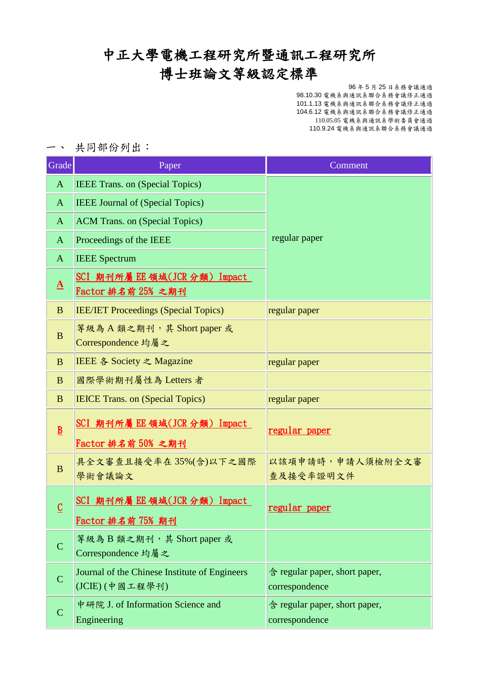### 中正大學電機工程研究所暨通訊工程研究所

## 博士班論文等級認定標準

96 年 5 月 25 日系務會議通過 98.10.30 電機系與通訊系聯合系務會議修正通過 101.1.13 電機系與通訊系聯合系務會議修正通過 104.6.12 電機系與通訊系聯合系務會議修正通過 110.05.05 電機系與通訊系學術委員會通過 110.9.24 電機系與通訊系聯合系務會議通過

一、 共同部份列出:

| Grade           | Paper                                                              | Comment                                         |
|-----------------|--------------------------------------------------------------------|-------------------------------------------------|
| $\mathbf{A}$    | <b>IEEE Trans. on (Special Topics)</b>                             |                                                 |
| $\mathbf{A}$    | <b>IEEE Journal of (Special Topics)</b>                            |                                                 |
| A               | <b>ACM Trans. on (Special Topics)</b>                              |                                                 |
| $\mathbf{A}$    | Proceedings of the IEEE                                            | regular paper                                   |
| $\mathbf{A}$    | <b>IEEE</b> Spectrum                                               |                                                 |
| $\Delta$        | SCI 期刊所屬 EE 領域(JCR 分類) Impact<br>Factor 排名前 25% 之期刊                |                                                 |
| B               | <b>IEE/IET Proceedings (Special Topics)</b>                        | regular paper                                   |
| B               | 等級為 A 類之期刊, 其 Short paper 或<br>Correspondence 均屬之                  |                                                 |
| $\mathbf{B}$    | <b>IEEE <math>\&amp;</math> Society <math>\geq</math> Magazine</b> | regular paper                                   |
| B               | 國際學術期刊屬性為 Letters 者                                                |                                                 |
| B               | <b>IEICE Trans. on (Special Topics)</b>                            | regular paper                                   |
| $\underline{B}$ | SCI 期刊所屬 EE 領域(JCR 分類) Impact<br>Factor 排名前 50% 之期刊                | regular paper                                   |
| B               | 具全文審查且接受率在35%(含)以下之國際<br>學術會議論文                                    | 以該項申請時,申請人須檢附全文審<br>查及接受率證明文件                   |
| $\mathbf C$     | <u>SCI 期刊所屬 EE 領域(JCR 分類)Impact</u><br>Factor 排名前 75% 期刊           | regular paper                                   |
| $\mathcal{C}$   | 等級為B類之期刊,其 Short paper 或<br>Correspondence 均屬之                     |                                                 |
| $\mathbf C$     | Journal of the Chinese Institute of Engineers<br>(JCIE)(中國工程學刊)    | 含 regular paper, short paper,<br>correspondence |
| $\mathbf C$     | 中研院 J. of Information Science and<br>Engineering                   | 含 regular paper, short paper,<br>correspondence |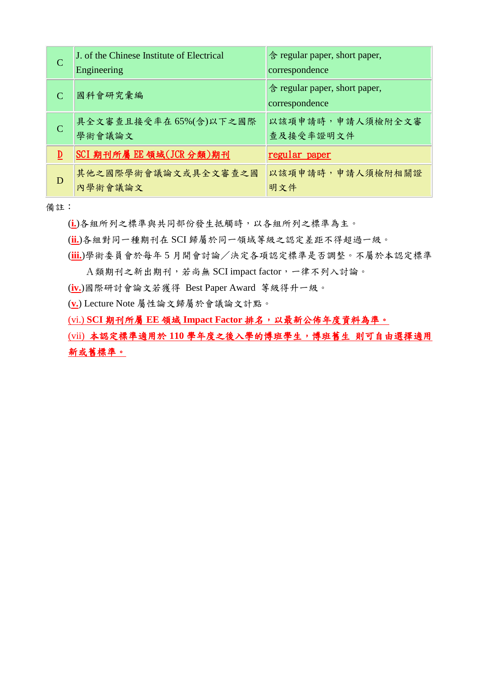| C                           | J. of the Chinese Institute of Electrical<br>Engineering | 含 regular paper, short paper,<br>correspondence |
|-----------------------------|----------------------------------------------------------|-------------------------------------------------|
| $\mathcal{C}_{\mathcal{C}}$ | 國科會研究彙編                                                  | 含 regular paper, short paper,<br>correspondence |
| C                           | 具全文審查且接受率在 65%(含)以下之國際<br>學術會議論文                         | 以該項申請時,申請人須檢附全文審<br>查及接受率證明文件                   |
| $\overline{\mathbf{D}}$     | SCI 期刊所屬 EE 領域(JCR 分類)期刊                                 | regular paper                                   |
| D                           | 其他之國際學術會議論文或具全文審查之國<br>內學術會議論文                           | 以該項申請時,申請人須檢附相關證<br>明文件                         |

備註:

(**i.**)各組所列之標準與共同部份發生抵觸時,以各組所列之標準為主。

(**ii.**)各組對同一種期刊在 SCI 歸屬於同一領域等級之認定差距不得超過一級。

(**iii.**)學術委員會於每年 5 月開會討論/決定各項認定標準是否調整。不屬於本認定標準 A類期刊之新出期刊,若尚無 SCI impact factor,一律不列入討論。

(**iv.**)國際研討會論文若獲得 Best Paper Award 等級得升一級。

(**v.**) Lecture Note 屬性論文歸屬於會議論文計點。

(vi.) **SCI** 期刊所屬 **EE** 領域 **Impact Factor** 排名,以最新公佈年度資料為準。

(vii) 本認定標準適用於 **110** 學年度之後入學的博班學生,博班舊生 則可自由選擇適用 新或舊標準。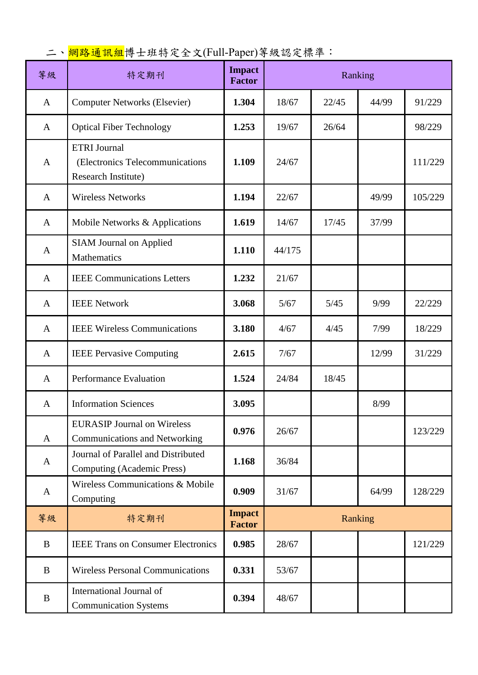## 二、<mark>網路通訊組</mark>博士班特定全文(Full-Paper)等級認定標準:

| 等級           | 特定期刊                                                                          | <b>Impact</b><br><b>Factor</b> | Ranking        |       |         |         |
|--------------|-------------------------------------------------------------------------------|--------------------------------|----------------|-------|---------|---------|
| $\mathbf{A}$ | 1.304<br><b>Computer Networks (Elsevier)</b>                                  |                                | 18/67          | 22/45 | 44/99   | 91/229  |
| A            | <b>Optical Fiber Technology</b>                                               | 1.253                          | 19/67          | 26/64 |         | 98/229  |
| $\mathbf{A}$ | <b>ETRI</b> Journal<br>(Electronics Telecommunications<br>Research Institute) |                                | 24/67          |       |         | 111/229 |
| $\mathbf{A}$ | <b>Wireless Networks</b>                                                      | 1.194                          | 22/67          |       | 49/99   | 105/229 |
| $\mathbf{A}$ | Mobile Networks & Applications                                                | 1.619                          | 14/67          | 17/45 | 37/99   |         |
| $\mathbf{A}$ | <b>SIAM Journal on Applied</b><br>Mathematics                                 | 1.110                          | 44/175         |       |         |         |
| $\mathbf{A}$ | <b>IEEE</b> Communications Letters                                            | 1.232                          | 21/67          |       |         |         |
| $\mathbf{A}$ | <b>IEEE Network</b>                                                           | 3.068                          | 5/67           | 5/45  | 9/99    | 22/229  |
| A            | <b>IEEE Wireless Communications</b><br>3.180                                  |                                | 4/67           | 4/45  | 7/99    | 18/229  |
| A            | <b>IEEE Pervasive Computing</b>                                               | 2.615                          | 7/67           |       | 12/99   | 31/229  |
| $\mathbf{A}$ | Performance Evaluation                                                        | 1.524                          | 24/84<br>18/45 |       |         |         |
| $\mathbf{A}$ | <b>Information Sciences</b>                                                   | 3.095                          | 8/99           |       |         |         |
| $\mathbf{A}$ | <b>EURASIP Journal on Wireless</b><br><b>Communications and Networking</b>    | 0.976                          | 26/67          |       | 123/229 |         |
| $\mathbf{A}$ | Journal of Parallel and Distributed<br><b>Computing (Academic Press)</b>      | 1.168                          | 36/84          |       |         |         |
| $\mathbf{A}$ | Wireless Communications & Mobile<br>Computing                                 | 0.909                          | 31/67<br>64/99 |       | 128/229 |         |
| 等級           | 特定期刊                                                                          | <b>Impact</b><br><b>Factor</b> | Ranking        |       |         |         |
| B            | <b>IEEE Trans on Consumer Electronics</b>                                     | 0.985                          | 28/67          |       |         | 121/229 |
| B            | <b>Wireless Personal Communications</b>                                       | 0.331                          | 53/67          |       |         |         |
| B            | International Journal of<br><b>Communication Systems</b>                      | 0.394                          | 48/67          |       |         |         |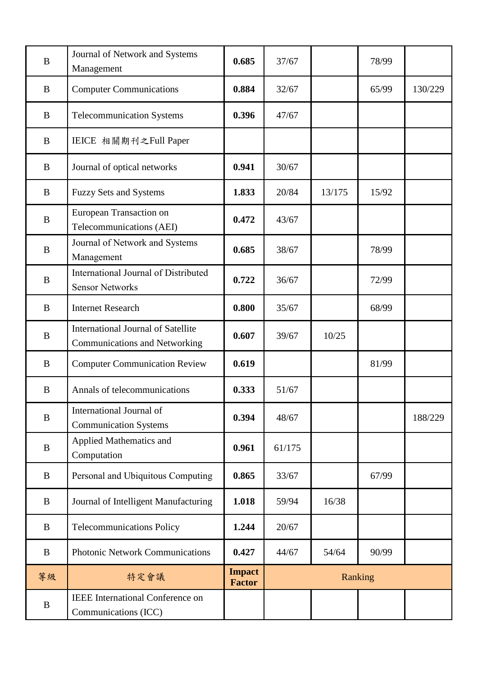| B        | Journal of Network and Systems<br>Management                                      | 0.685                          | 37/67   |        | 78/99 |         |
|----------|-----------------------------------------------------------------------------------|--------------------------------|---------|--------|-------|---------|
| B        | <b>Computer Communications</b>                                                    | 0.884                          | 32/67   |        | 65/99 | 130/229 |
| B        | <b>Telecommunication Systems</b>                                                  | 0.396                          | 47/67   |        |       |         |
| B        | IEICE 相關期刊之Full Paper                                                             |                                |         |        |       |         |
| B        | Journal of optical networks                                                       | 0.941                          | 30/67   |        |       |         |
| B        | <b>Fuzzy Sets and Systems</b>                                                     | 1.833                          | 20/84   | 13/175 | 15/92 |         |
| B        | European Transaction on<br>Telecommunications (AEI)                               | 0.472                          | 43/67   |        |       |         |
| $\bf{B}$ | Journal of Network and Systems<br>0.685<br>Management                             |                                | 38/67   |        | 78/99 |         |
| $\bf{B}$ | International Journal of Distributed<br><b>Sensor Networks</b>                    | 0.722                          | 36/67   |        | 72/99 |         |
| $\bf{B}$ | <b>Internet Research</b>                                                          | 0.800                          | 35/67   |        | 68/99 |         |
| B        | <b>International Journal of Satellite</b><br><b>Communications and Networking</b> | 0.607                          | 39/67   | 10/25  |       |         |
| B        | 0.619<br><b>Computer Communication Review</b>                                     |                                |         |        | 81/99 |         |
| B        | Annals of telecommunications<br>0.333                                             |                                | 51/67   |        |       |         |
| B        | International Journal of<br>0.394<br><b>Communication Systems</b>                 |                                | 48/67   |        |       | 188/229 |
| B        | <b>Applied Mathematics and</b><br>Computation                                     | 0.961                          |         |        |       |         |
| B        | Personal and Ubiquitous Computing                                                 | 0.865                          | 33/67   |        | 67/99 |         |
| B        | Journal of Intelligent Manufacturing                                              | 1.018                          | 59/94   | 16/38  |       |         |
| B        | <b>Telecommunications Policy</b>                                                  | 1.244                          | 20/67   |        |       |         |
| B        | <b>Photonic Network Communications</b><br>0.427<br>44/67                          |                                | 54/64   | 90/99  |       |         |
| 等級       | 特定會議                                                                              | <b>Impact</b><br><b>Factor</b> | Ranking |        |       |         |
| B        | <b>IEEE</b> International Conference on<br>Communications (ICC)                   |                                |         |        |       |         |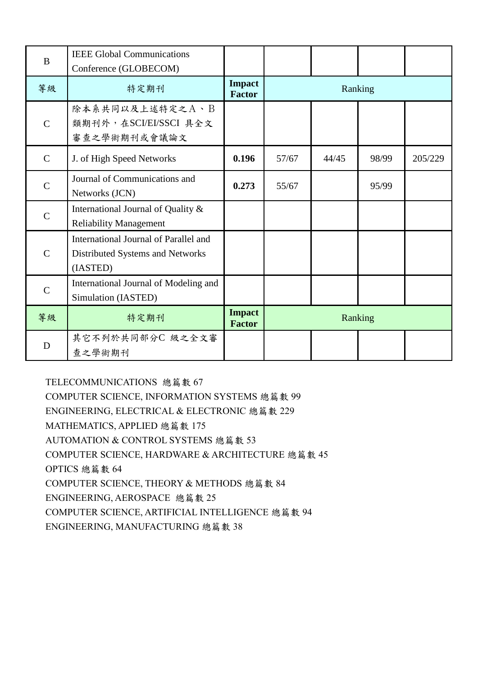| B             | <b>IEEE Global Communications</b><br>Conference (GLOBECOM)                            |                                |         |       |       |         |
|---------------|---------------------------------------------------------------------------------------|--------------------------------|---------|-------|-------|---------|
| 等級            | 特定期刊                                                                                  | <b>Impact</b><br><b>Factor</b> | Ranking |       |       |         |
| $\mathcal{C}$ | 除本系共同以及上述特定之A、B<br>類期刊外,在SCI/EI/SSCI 具全文<br>審查之學術期刊或會議論文                              |                                |         |       |       |         |
| $\mathcal{C}$ | J. of High Speed Networks                                                             | 0.196                          | 57/67   | 44/45 | 98/99 | 205/229 |
| $\mathcal{C}$ | Journal of Communications and<br>Networks (JCN)                                       | 0.273                          | 55/67   |       | 95/99 |         |
| $\mathcal{C}$ | International Journal of Quality &<br><b>Reliability Management</b>                   |                                |         |       |       |         |
| $\mathcal{C}$ | International Journal of Parallel and<br>Distributed Systems and Networks<br>(IASTED) |                                |         |       |       |         |
| $\mathcal{C}$ | International Journal of Modeling and<br>Simulation (IASTED)                          |                                |         |       |       |         |
| 等級            | 特定期刊                                                                                  | <b>Impact</b><br><b>Factor</b> | Ranking |       |       |         |
| D             | 其它不列於共同部分C 級之全文審<br>查之學術期刊                                                            |                                |         |       |       |         |

TELECOMMUNICATIONS 總篇數 67

COMPUTER SCIENCE, INFORMATION SYSTEMS 總篇數 99

ENGINEERING, ELECTRICAL & ELECTRONIC 總篇數 229

MATHEMATICS, APPLIED 總篇數 175

AUTOMATION & CONTROL SYSTEMS 總篇數 53

COMPUTER SCIENCE, HARDWARE & ARCHITECTURE 總篇數 45

OPTICS 總篇數 64

COMPUTER SCIENCE, THEORY & METHODS 總篇數 84

ENGINEERING, AEROSPACE 總篇數 25

COMPUTER SCIENCE, ARTIFICIAL INTELLIGENCE 總篇數 94

ENGINEERING, MANUFACTURING 總篇數 38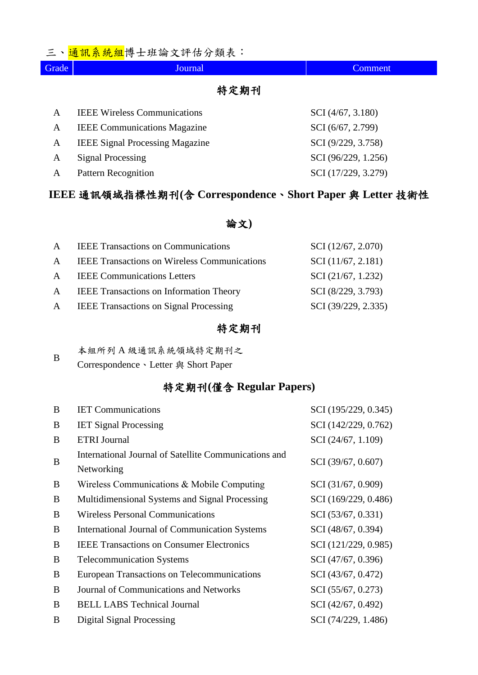### 三、<mark>通訊系統組</mark>博士班論文評估分類表:

| Grade | Journal                                | <b>Comment</b>      |
|-------|----------------------------------------|---------------------|
|       | 特定期刊                                   |                     |
| A     | <b>IEEE Wireless Communications</b>    | SCI (4/67, 3.180)   |
| A     | <b>IEEE</b> Communications Magazine    | SCI (6/67, 2.799)   |
| A     | <b>IEEE Signal Processing Magazine</b> | SCI (9/229, 3.758)  |
| A     | <b>Signal Processing</b>               | SCI (96/229, 1.256) |

# **IEEE** 通訊領域指標性期刊**(**含 **Correspondence**、**Short Paper** 與 **Letter** 技術性

A Pattern Recognition SCI (17/229, 3.279)

#### 論文**)**

| $\mathbf{A}$ | <b>IEEE Transactions on Communications</b>          | SCI (12/67, 2.070)              |
|--------------|-----------------------------------------------------|---------------------------------|
| $\mathsf{A}$ | <b>IEEE Transactions on Wireless Communications</b> | SCI(11/67, 2.181)               |
|              | A <b>IEEE</b> Communications Letters                | $\mathcal{S}$ CI (21/67, 1.232) |
|              | A <b>IEEE</b> Transactions on Information Theory    | SCI (8/229, 3.793)              |
|              | A <b>IEEE</b> Transactions on Signal Processing     | SCI (39/229, 2.335)             |

### 特定期刊

| B | 本組所列A級通訊系統領域特定期刊之                   |
|---|-------------------------------------|
|   | Correspondence、Letter 與 Short Paper |

### 特定期刊**(**僅含 **Regular Papers)**

| B | <b>IET Communications</b>                             | SCI (195/229, 0.345) |
|---|-------------------------------------------------------|----------------------|
| B | <b>IET Signal Processing</b>                          | SCI (142/229, 0.762) |
| B | <b>ETRI Journal</b>                                   | SCI (24/67, 1.109)   |
| B | International Journal of Satellite Communications and | SCI (39/67, 0.607)   |
|   | Networking                                            |                      |
| B | Wireless Communications & Mobile Computing            | SCI (31/67, 0.909)   |
| B | Multidimensional Systems and Signal Processing        | SCI (169/229, 0.486) |
| B | <b>Wireless Personal Communications</b>               | SCI (53/67, 0.331)   |
| B | <b>International Journal of Communication Systems</b> | SCI (48/67, 0.394)   |
| B | <b>IEEE Transactions on Consumer Electronics</b>      | SCI (121/229, 0.985) |
| B | <b>Telecommunication Systems</b>                      | SCI (47/67, 0.396)   |
| B | European Transactions on Telecommunications           | SCI (43/67, 0.472)   |
| B | Journal of Communications and Networks                | SCI (55/67, 0.273)   |
| B | <b>BELL LABS Technical Journal</b>                    | SCI (42/67, 0.492)   |
| B | Digital Signal Processing                             | SCI (74/229, 1.486)  |
|   |                                                       |                      |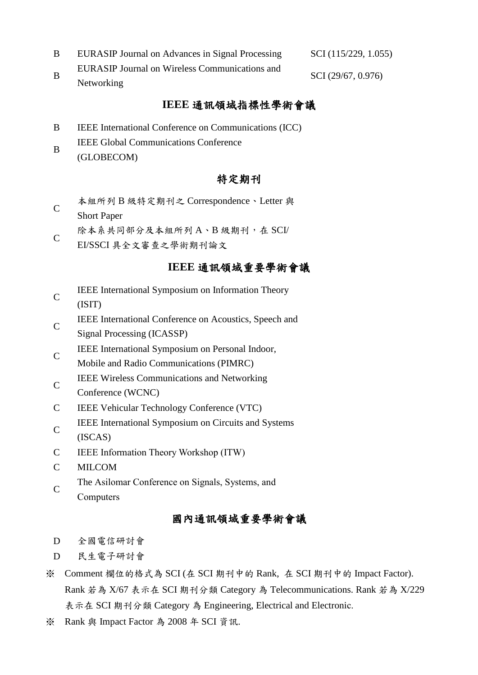- B EURASIP Journal on Advances in Signal Processing SCI (115/229, 1.055)
- B EURASIP Journal on Wireless Communications and Networking SCI (29/67, 0.976)

### **IEEE** 通訊領域指標性學術會議

- B IEEE International Conference on Communications (ICC)
- B IEEE Global Communications Conference (GLOBECOM)

### 特定期刊

- $\mathcal{C}$ 本組所列 B 級特定期刊之 Correspondence、Letter 與 Short Paper
- 除本系共同部分及本組所列 A、B 級期刊, 在 SCI/
- C EI/SSCI 具全文審查之學術期刊論文

#### **IEEE** 通訊領域重要學術會議

- C IEEE International Symposium on Information Theory
- (ISIT) IEEE International Conference on Acoustics, Speech and
- $\mathcal{C}$ Signal Processing (ICASSP)
- $\mathcal{C}$ IEEE International Symposium on Personal Indoor,
- Mobile and Radio Communications (PIMRC)
- C IEEE Wireless Communications and Networking
- Conference (WCNC)
- C IEEE Vehicular Technology Conference (VTC)
- $\mathcal{C}$ IEEE International Symposium on Circuits and Systems (ISCAS)
- C IEEE Information Theory Workshop (ITW)
- C MILCOM
- $\mathcal{C}$ The Asilomar Conference on Signals, Systems, and **Computers**

### 國內通訊領域重要學術會議

- D 全國電信研討會
- D 民生電子研討會
- ※ Comment 欄位的格式為 SCI (在 SCI 期刊中的 Rank, 在 SCI 期刊中的 Impact Factor). Rank 若為 X/67 表示在 SCI 期刊分類 Category 為 Telecommunications. Rank 若為 X/229 表示在 SCI 期刊分類 Category 為 Engineering, Electrical and Electronic.
- ※ Rank 與 Impact Factor 為 2008 年 SCI 資訊.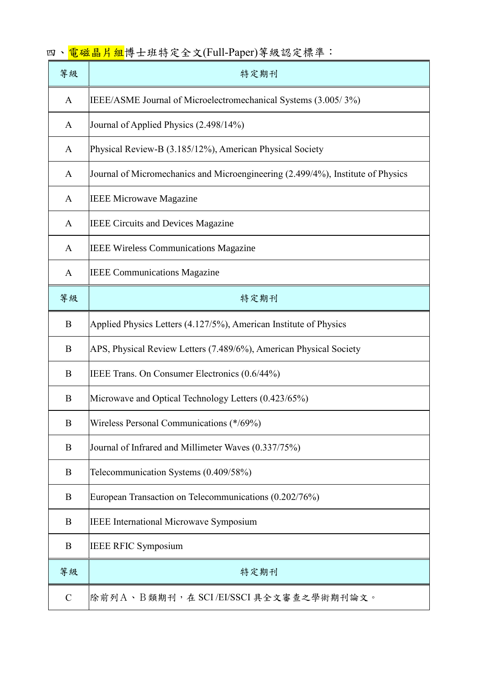| 等級               | 特定期刊                                                                            |
|------------------|---------------------------------------------------------------------------------|
| A                | IEEE/ASME Journal of Microelectromechanical Systems (3.005/3%)                  |
| A                | Journal of Applied Physics (2.498/14%)                                          |
| A                | Physical Review-B (3.185/12%), American Physical Society                        |
| A                | Journal of Micromechanics and Microengineering (2.499/4%), Institute of Physics |
| A                | <b>IEEE Microwave Magazine</b>                                                  |
| A                | <b>IEEE Circuits and Devices Magazine</b>                                       |
| A                | <b>IEEE Wireless Communications Magazine</b>                                    |
| A                | <b>IEEE Communications Magazine</b>                                             |
| 等級               | 特定期刊                                                                            |
| B                | Applied Physics Letters (4.127/5%), American Institute of Physics               |
| B                | APS, Physical Review Letters (7.489/6%), American Physical Society              |
| B                | IEEE Trans. On Consumer Electronics (0.6/44%)                                   |
| B                | Microwave and Optical Technology Letters (0.423/65%)                            |
| $\boldsymbol{B}$ | Wireless Personal Communications (*/69%)                                        |
| B                | Journal of Infrared and Millimeter Waves (0.337/75%)                            |
| B                | Telecommunication Systems (0.409/58%)                                           |
| B                | European Transaction on Telecommunications (0.202/76%)                          |
| B                | <b>IEEE</b> International Microwave Symposium                                   |
| B                | <b>IEEE RFIC Symposium</b>                                                      |
| 等級               | 特定期刊                                                                            |
| $\mathbf C$      | 除前列A、B類期刊,在 SCI/EI/SSCI 具全文審查之學術期刊論文。                                           |

|  |  | 四、 <mark>電磁晶片組</mark> 博士班特定全文(Full-Paper)等級認定標準: |  |
|--|--|--------------------------------------------------|--|
|--|--|--------------------------------------------------|--|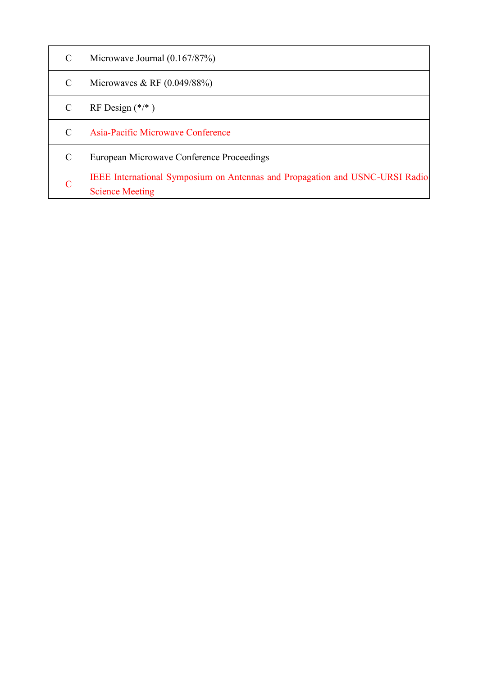| $\mathcal{C}$ | Microwave Journal $(0.167/87%)$                                                                        |
|---------------|--------------------------------------------------------------------------------------------------------|
| $\mathcal{C}$ | Microwaves & RF $(0.049/88%)$                                                                          |
| $\mathcal{C}$ | RF Design $(*/*)$                                                                                      |
| $\mathcal{C}$ | Asia-Pacific Microwave Conference                                                                      |
| $\mathcal{C}$ | European Microwave Conference Proceedings                                                              |
| C             | IEEE International Symposium on Antennas and Propagation and USNC-URSI Radio<br><b>Science Meeting</b> |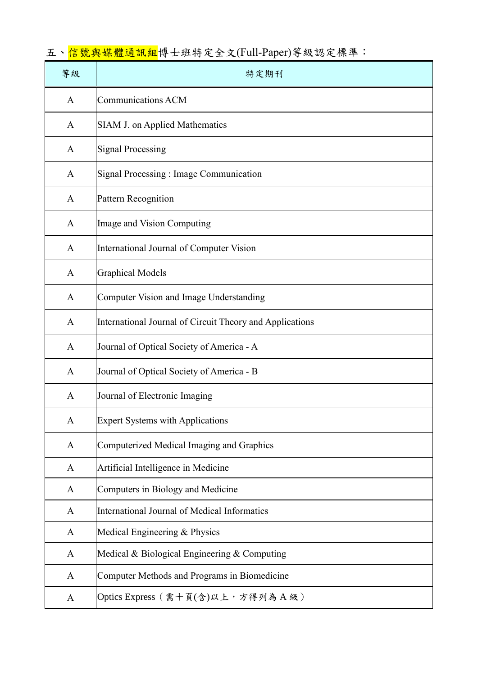# 五、<mark>信號與媒體通訊組</mark>博士班特定全文(Full-Paper)等級認定標準:

| 等級 | 特定期刊                                                     |
|----|----------------------------------------------------------|
| A  | <b>Communications ACM</b>                                |
| A  | SIAM J. on Applied Mathematics                           |
| A  | <b>Signal Processing</b>                                 |
| A  | Signal Processing : Image Communication                  |
| A  | Pattern Recognition                                      |
| A  | Image and Vision Computing                               |
| A  | International Journal of Computer Vision                 |
| A  | <b>Graphical Models</b>                                  |
| A  | Computer Vision and Image Understanding                  |
| A  | International Journal of Circuit Theory and Applications |
| A  | Journal of Optical Society of America - A                |
| A  | Journal of Optical Society of America - B                |
| A  | Journal of Electronic Imaging                            |
| A  | <b>Expert Systems with Applications</b>                  |
| A  | Computerized Medical Imaging and Graphics                |
| A  | Artificial Intelligence in Medicine                      |
| A  | Computers in Biology and Medicine                        |
| A  | International Journal of Medical Informatics             |
| A  | Medical Engineering & Physics                            |
| A  | Medical & Biological Engineering & Computing             |
| A  | Computer Methods and Programs in Biomedicine             |
| A  | Optics Express (需十頁(含)以上,方得列為A級)                         |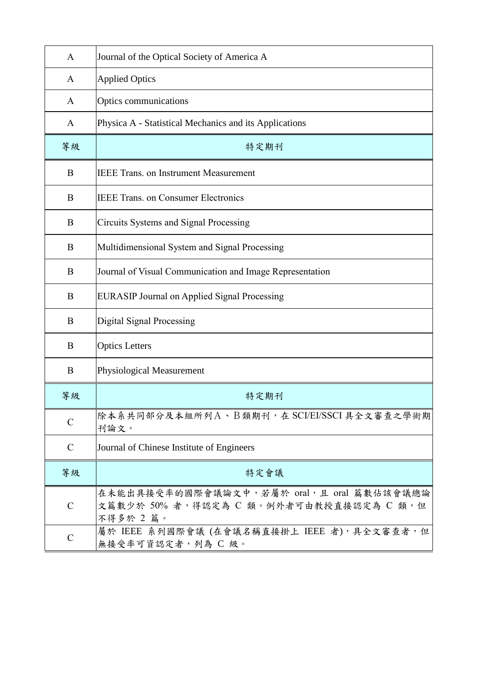| $\mathbf{A}$  | Journal of the Optical Society of America A                                                       |
|---------------|---------------------------------------------------------------------------------------------------|
| A             | <b>Applied Optics</b>                                                                             |
| A             | Optics communications                                                                             |
| A             | Physica A - Statistical Mechanics and its Applications                                            |
| 等級            | 特定期刊                                                                                              |
| B             | <b>IEEE Trans. on Instrument Measurement</b>                                                      |
| B             | <b>IEEE Trans. on Consumer Electronics</b>                                                        |
| B             | Circuits Systems and Signal Processing                                                            |
| B             | Multidimensional System and Signal Processing                                                     |
| B             | Journal of Visual Communication and Image Representation                                          |
| B             | <b>EURASIP Journal on Applied Signal Processing</b>                                               |
| B             | Digital Signal Processing                                                                         |
| B             | <b>Optics Letters</b>                                                                             |
| B             | Physiological Measurement                                                                         |
| 等級            | 特定期刊                                                                                              |
| $\mathsf{C}$  | 除本系共同部分及本組所列A、B類期刊,在 SCI/EI/SSCI具全文審查之學術期<br>刊論文。                                                 |
| $\mathcal{C}$ | Journal of Chinese Institute of Engineers                                                         |
| 等級            | 特定會議                                                                                              |
| $\mathcal{C}$ | 在未能出具接受率的國際會議論文中,若屬於 oral,且 oral 篇數佔該會議總論<br>文篇數少於 50% 者,得認定為 C 類。例外者可由教授直接認定為 C 類,但<br>不得多於 2 篇。 |
| $\mathbf C$   | 屬於 IEEE 系列國際會議 (在會議名稱直接掛上 IEEE 者), 具全文審查者, 但<br>無接受率可資認定者,列為 C 級。                                 |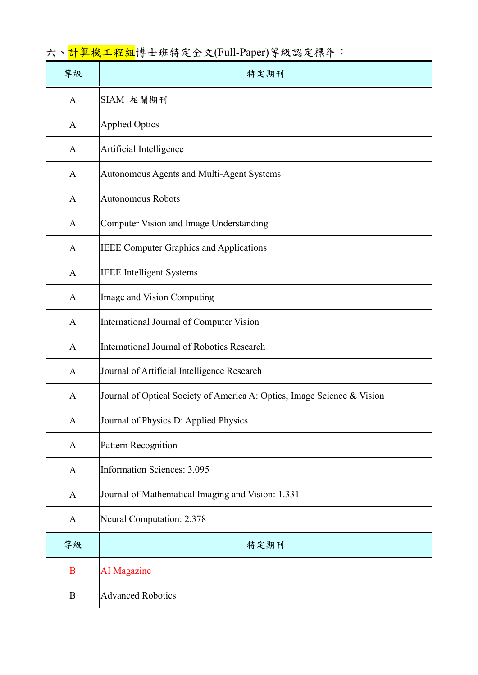六、<mark>計算機工程組</mark>博士班特定全文(Full-Paper)等級認定標準:

| 等級           | 特定期刊                                                                    |
|--------------|-------------------------------------------------------------------------|
| $\mathbf{A}$ | SIAM 相關期刊                                                               |
| $\mathbf{A}$ | <b>Applied Optics</b>                                                   |
| $\mathbf{A}$ | Artificial Intelligence                                                 |
| A            | Autonomous Agents and Multi-Agent Systems                               |
| $\mathbf{A}$ | <b>Autonomous Robots</b>                                                |
| $\mathbf{A}$ | Computer Vision and Image Understanding                                 |
| $\mathbf{A}$ | <b>IEEE Computer Graphics and Applications</b>                          |
| $\mathbf{A}$ | <b>IEEE</b> Intelligent Systems                                         |
| $\mathbf{A}$ | Image and Vision Computing                                              |
| $\mathbf{A}$ | International Journal of Computer Vision                                |
| A            | <b>International Journal of Robotics Research</b>                       |
| $\mathbf{A}$ | Journal of Artificial Intelligence Research                             |
| $\mathbf{A}$ | Journal of Optical Society of America A: Optics, Image Science & Vision |
| A            | Journal of Physics D: Applied Physics                                   |
| $\mathbf{A}$ | Pattern Recognition                                                     |
| $\mathbf{A}$ | <b>Information Sciences: 3.095</b>                                      |
| $\mathbf{A}$ | Journal of Mathematical Imaging and Vision: 1.331                       |
| $\mathbf{A}$ | Neural Computation: 2.378                                               |
| 等級           | 特定期刊                                                                    |
| $\bf{B}$     | <b>AI</b> Magazine                                                      |
| B            | <b>Advanced Robotics</b>                                                |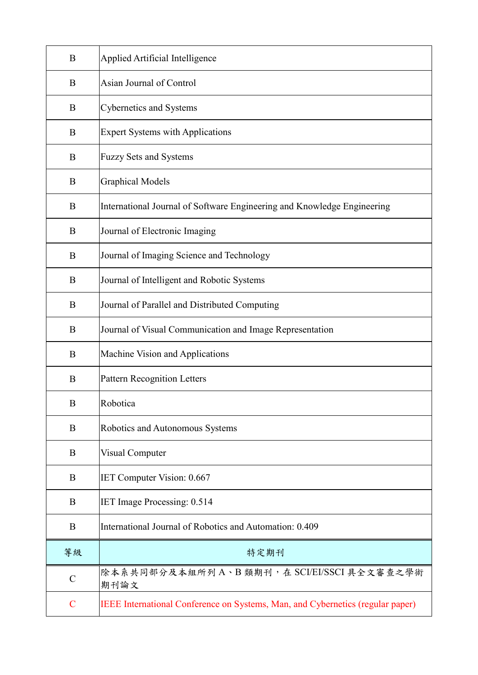| B             | Applied Artificial Intelligence                                                |
|---------------|--------------------------------------------------------------------------------|
| B             | Asian Journal of Control                                                       |
| B             | Cybernetics and Systems                                                        |
| B             | <b>Expert Systems with Applications</b>                                        |
| B             | <b>Fuzzy Sets and Systems</b>                                                  |
| B             | <b>Graphical Models</b>                                                        |
| B             | International Journal of Software Engineering and Knowledge Engineering        |
| B             | Journal of Electronic Imaging                                                  |
| B             | Journal of Imaging Science and Technology                                      |
| B             | Journal of Intelligent and Robotic Systems                                     |
| B             | Journal of Parallel and Distributed Computing                                  |
| B             | Journal of Visual Communication and Image Representation                       |
| B             | Machine Vision and Applications                                                |
| B             | <b>Pattern Recognition Letters</b>                                             |
| B             | Robotica                                                                       |
| B             | Robotics and Autonomous Systems                                                |
| B             | Visual Computer                                                                |
| B             | IET Computer Vision: 0.667                                                     |
| B             | IET Image Processing: 0.514                                                    |
| B             | International Journal of Robotics and Automation: 0.409                        |
| 等級            | 特定期刊                                                                           |
| $\mathcal{C}$ | 除本系共同部分及本組所列A、B類期刊,在 SCI/EI/SSCI具全文審查之學術<br>期刊論文                               |
| $\mathbf C$   | IEEE International Conference on Systems, Man, and Cybernetics (regular paper) |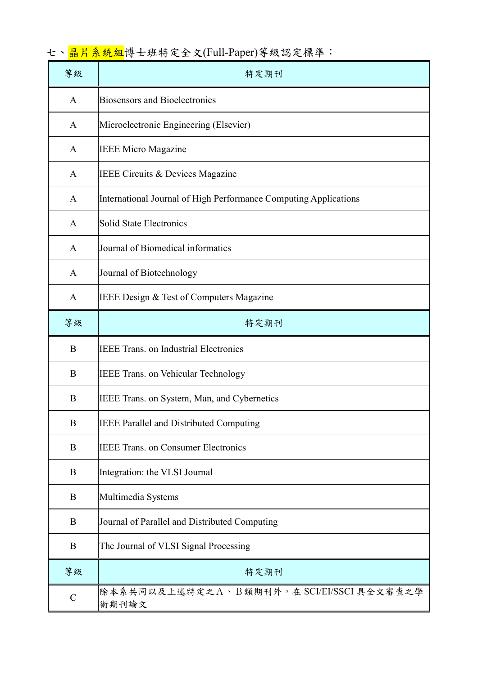| 等級           | 特定期刊                                                             |
|--------------|------------------------------------------------------------------|
| $\mathbf{A}$ | <b>Biosensors and Bioelectronics</b>                             |
| $\mathsf{A}$ | Microelectronic Engineering (Elsevier)                           |
| A            | <b>IEEE Micro Magazine</b>                                       |
| A            | <b>IEEE Circuits &amp; Devices Magazine</b>                      |
| A            | International Journal of High Performance Computing Applications |
| A            | <b>Solid State Electronics</b>                                   |
| A            | Journal of Biomedical informatics                                |
| A            | Journal of Biotechnology                                         |
| A            | IEEE Design & Test of Computers Magazine                         |
| 等級           | 特定期刊                                                             |
| B            | <b>IEEE Trans. on Industrial Electronics</b>                     |
| B            | <b>IEEE Trans. on Vehicular Technology</b>                       |
| B            | IEEE Trans. on System, Man, and Cybernetics                      |
| B            | IEEE Parallel and Distributed Computing                          |
| B            | <b>IEEE Trans. on Consumer Electronics</b>                       |
| B            | Integration: the VLSI Journal                                    |
| B            | Multimedia Systems                                               |
| B            | Journal of Parallel and Distributed Computing                    |
| B            | The Journal of VLSI Signal Processing                            |
| 等級           | 特定期刊                                                             |
| $\mathbf C$  | 除本系共同以及上述特定之A、B類期刊外,在 SCI/EI/SSCI 具全文審查之學<br>術期刊論文               |

七、<mark>晶片系統組</mark>博士班特定全文(Full-Paper)等級認定標準: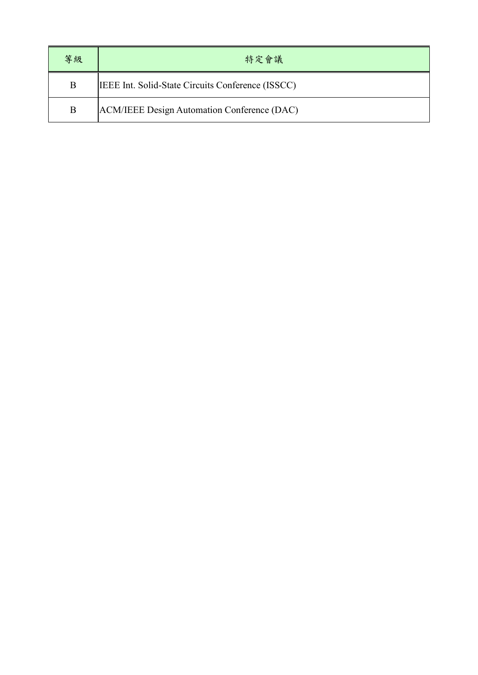| 等級 | 特定會議                                                     |
|----|----------------------------------------------------------|
| B  | <b>IEEE</b> Int. Solid-State Circuits Conference (ISSCC) |
| B  | ACM/IEEE Design Automation Conference (DAC)              |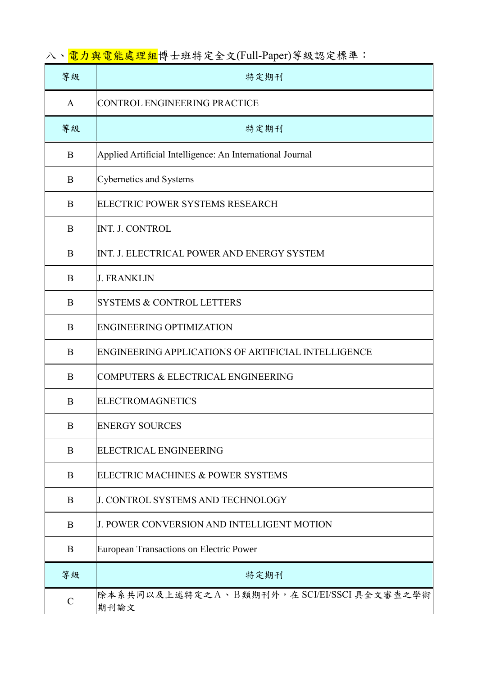八、<mark>電力與電能處理組</mark>博士班特定全文(Full-Paper)等級認定標準:

| 等級          | 特定期刊                                                      |
|-------------|-----------------------------------------------------------|
| A           | <b>CONTROL ENGINEERING PRACTICE</b>                       |
| 等級          | 特定期刊                                                      |
| B           | Applied Artificial Intelligence: An International Journal |
| B           | <b>Cybernetics and Systems</b>                            |
| $\bf{B}$    | ELECTRIC POWER SYSTEMS RESEARCH                           |
| B           | INT. J. CONTROL                                           |
| B           | INT. J. ELECTRICAL POWER AND ENERGY SYSTEM                |
| B           | <b>J. FRANKLIN</b>                                        |
| B           | <b>SYSTEMS &amp; CONTROL LETTERS</b>                      |
| B           | <b>ENGINEERING OPTIMIZATION</b>                           |
| B           | ENGINEERING APPLICATIONS OF ARTIFICIAL INTELLIGENCE       |
| B           | COMPUTERS & ELECTRICAL ENGINEERING                        |
| B           | <b>ELECTROMAGNETICS</b>                                   |
| B           | <b>ENERGY SOURCES</b>                                     |
| B           | ELECTRICAL ENGINEERING                                    |
| B           | ELECTRIC MACHINES & POWER SYSTEMS                         |
| $\bf{B}$    | <b>J. CONTROL SYSTEMS AND TECHNOLOGY</b>                  |
| $\bf{B}$    | <b>J. POWER CONVERSION AND INTELLIGENT MOTION</b>         |
| B           | European Transactions on Electric Power                   |
| 等級          | 特定期刊                                                      |
| $\mathbf C$ | 除本系共同以及上述特定之A、B類期刊外,在 SCI/EI/SSCI具全文審查之學術<br>期刊論文         |